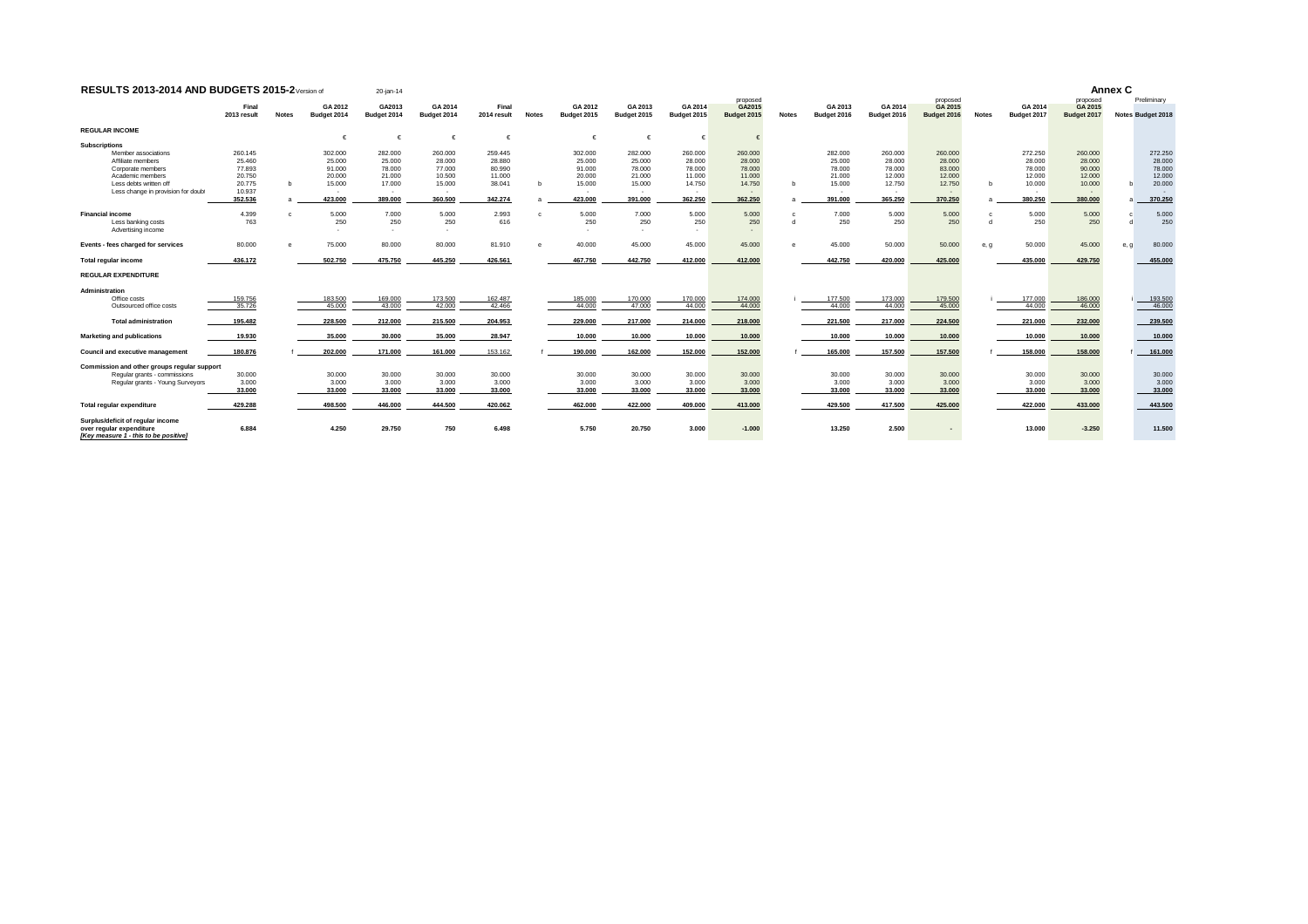| <b>RESULTS 2013-2014 AND BUDGETS 2015-2</b> Version of                                                                                           |                                                                      |              |                                                            |                                                                          | 20-jan-14                                                         |                                                            |              |                                                            |                                                                   |                                                            |                                                            |              |                                                                           |                                                            |                                                            |              |                                                            | Annex C                                                                       |      |                                                            |  |
|--------------------------------------------------------------------------------------------------------------------------------------------------|----------------------------------------------------------------------|--------------|------------------------------------------------------------|--------------------------------------------------------------------------|-------------------------------------------------------------------|------------------------------------------------------------|--------------|------------------------------------------------------------|-------------------------------------------------------------------|------------------------------------------------------------|------------------------------------------------------------|--------------|---------------------------------------------------------------------------|------------------------------------------------------------|------------------------------------------------------------|--------------|------------------------------------------------------------|-------------------------------------------------------------------------------|------|------------------------------------------------------------|--|
|                                                                                                                                                  | Final<br>2013 result                                                 | <b>Notes</b> | GA 2012<br>Budget 2014                                     | GA2013<br>Budget 2014                                                    | GA 2014<br>Budget 2014                                            | Final<br>2014 result                                       | <b>Notes</b> | GA 2012<br>Budget 2015                                     | GA 2013<br>Budget 2015                                            | GA 2014<br>Budget 2015                                     | proposed<br>GA2015<br>Budget 2015                          | <b>Notes</b> | GA 2013<br>Budget 2016                                                    | GA 2014<br>Budget 2016                                     | proposed<br>GA 2015<br>Budget 2016                         | <b>Notes</b> | GA 2014<br>Budget 2017                                     | proposed<br>GA 2015<br>Budget 2017                                            |      | Preliminary<br>Notes Budget 2018                           |  |
| <b>REGULAR INCOME</b><br><b>Subscriptions</b>                                                                                                    |                                                                      |              |                                                            |                                                                          |                                                                   |                                                            |              |                                                            |                                                                   |                                                            |                                                            |              |                                                                           |                                                            |                                                            |              |                                                            |                                                                               |      |                                                            |  |
| Member associations<br>Affiliate members<br>Corporate members<br>Academic members<br>Less debts written off<br>Less change in provision for doub | 260.145<br>25,460<br>77.893<br>20,750<br>20.775<br>10.937<br>352.536 | b            | 302,000<br>25,000<br>91,000<br>20,000<br>15,000<br>423,000 | 282.000<br>25,000<br>78,000<br>21,000<br>17,000<br><b>COL</b><br>389,000 | 260,000<br>28,000<br>77,000<br>10,500<br>15,000<br>. .<br>360.500 | 259,445<br>28,880<br>80.990<br>11.000<br>38.041<br>342.274 |              | 302,000<br>25,000<br>91,000<br>20,000<br>15,000<br>423,000 | 282,000<br>25,000<br>78,000<br>21,000<br>15.000<br>. .<br>391.000 | 260.000<br>28,000<br>78,000<br>11.000<br>14.750<br>362.250 | 260,000<br>28,000<br>78.000<br>11.000<br>14.750<br>362.250 |              | 282,000<br>25,000<br>78,000<br>21,000<br>15.000<br><b>1979</b><br>391.000 | 260,000<br>28,000<br>78,000<br>12,000<br>12,750<br>365.250 | 260.000<br>28,000<br>83.000<br>12.000<br>12.750<br>370.250 | b            | 272.250<br>28,000<br>78,000<br>12,000<br>10,000<br>380.250 | 260.000<br>28,000<br>90.000<br>12.000<br>10.000<br><b>Security</b><br>380.000 |      | 272.250<br>28,000<br>78.000<br>12.000<br>20.000<br>370.250 |  |
| <b>Financial income</b><br>Less banking costs<br>Advertising income                                                                              | 4.399<br>763                                                         |              | 5,000<br>250                                               | 7.000<br>250<br><b>1999</b>                                              | 5.000<br>250<br>$\sim$                                            | 2.993<br>616                                               |              | 5.000<br>250                                               | 7.000<br>250<br><b>1979</b>                                       | 5.000<br>250<br>$\overline{\phantom{a}}$                   | 5.000<br>250<br>$\sim$                                     |              | 7.000<br>250                                                              | 5.000<br>250                                               | 5.000<br>250                                               | d            | 5.000<br>250                                               | 5.000<br>250                                                                  |      | 5.000<br>250                                               |  |
| Events - fees charged for services                                                                                                               | 80,000                                                               |              | 75,000                                                     | 80,000                                                                   | 80,000                                                            | 81.910                                                     |              | 40,000                                                     | 45,000                                                            | 45.000                                                     | 45.000                                                     |              | 45.000                                                                    | 50,000                                                     | 50.000                                                     | e, g         | 50,000                                                     | 45.000                                                                        | e, q | 80.000                                                     |  |
| <b>Total regular income</b>                                                                                                                      | 436.172                                                              |              | 502.750                                                    | 475.750                                                                  | 445.250                                                           | 426.561                                                    |              | 467.750                                                    | 442.750                                                           | 412.000                                                    | 412.000                                                    |              | 442.750                                                                   | 420,000                                                    | 425.000                                                    |              | 435.000                                                    | 429.750                                                                       |      | 455.000                                                    |  |
| <b>REGULAR EXPENDITURE</b>                                                                                                                       |                                                                      |              |                                                            |                                                                          |                                                                   |                                                            |              |                                                            |                                                                   |                                                            |                                                            |              |                                                                           |                                                            |                                                            |              |                                                            |                                                                               |      |                                                            |  |
| Administration<br>Office costs<br>Outsourced office costs                                                                                        | 159.756<br>35.726                                                    |              | 183.500<br>45,000                                          | 169.000<br>43,000                                                        | 173.500<br>42.000                                                 | 162.487<br>42.466                                          |              | 185.000<br>44,000                                          | 170.000<br>47,000                                                 | 170.000<br>44,000                                          | 174,000<br>44.000                                          |              | 177.500<br>44,000                                                         | 173.000<br>44,000                                          | 179.500<br>45.000                                          |              | 177.000<br>44,000                                          | 186.000<br>46.000                                                             |      | 193.500<br>46.000                                          |  |
| <b>Total administration</b>                                                                                                                      | 195.482                                                              |              | 228,500                                                    | 212.000                                                                  | 215,500                                                           | 204.953                                                    |              | 229,000                                                    | 217.000                                                           | 214.000                                                    | 218.000                                                    |              | 221.500                                                                   | 217.000                                                    | 224.500                                                    |              | 221.000                                                    | 232.000                                                                       |      | 239.500                                                    |  |
| Marketing and publications                                                                                                                       | 19.930                                                               |              | 35.000                                                     | 30,000                                                                   | 35,000                                                            | 28.947                                                     |              | 10,000                                                     | 10.000                                                            | 10.000                                                     | 10.000                                                     |              | 10,000                                                                    | 10.000                                                     | 10.000                                                     |              | 10.000                                                     | 10.000                                                                        |      | 10.000                                                     |  |
| <b>Council and executive management</b>                                                                                                          | 180,876                                                              |              | 202.000                                                    | 171.000                                                                  | 161.000                                                           | 153.162                                                    |              | 190,000                                                    | 162.000                                                           | 152.000                                                    | 152.000                                                    |              | 165,000                                                                   | 157.500                                                    | 157.500                                                    |              | 158,000                                                    | 158.000                                                                       |      | 161.000                                                    |  |
| Commission and other groups regular support<br>Regular grants - commissions<br>Regular grants - Young Surveyors                                  | 30,000<br>3.000<br>33.000                                            |              | 30,000<br>3,000<br>33,000                                  | 30,000<br>3.000<br>33,000                                                | 30,000<br>3.000<br>33,000                                         | 30,000<br>3.000<br>33,000                                  |              | 30,000<br>3.000<br>33,000                                  | 30,000<br>3.000<br>33,000                                         | 30,000<br>3.000<br>33,000                                  | 30,000<br>3.000<br>33.000                                  |              | 30,000<br>3.000<br>33,000                                                 | 30,000<br>3.000<br>33,000                                  | 30,000<br>3.000<br>33.000                                  |              | 30,000<br>3.000<br>33,000                                  | 30.000<br>3.000<br>33.000                                                     |      | 30,000<br>3.000<br>33.000                                  |  |
| Total regular expenditure                                                                                                                        | 429.288                                                              |              | 498.500                                                    | 446.000                                                                  | 444,500                                                           | 420.062                                                    |              | 462.000                                                    | 422.000                                                           | 409.000                                                    | 413.000                                                    |              | 429.500                                                                   | 417.500                                                    | 425.000                                                    |              | 422.000                                                    | 433.000                                                                       |      | 443.500                                                    |  |
| Surplus/deficit of regular income<br>over regular expenditure<br>[Kev measure 1 - this to be positive]                                           | 6.884                                                                |              | 4.250                                                      | 29.750                                                                   | 750                                                               | 6,498                                                      |              | 5.750                                                      | 20.750                                                            | 3.000                                                      | $-1.000$                                                   |              | 13.250                                                                    | 2.500                                                      |                                                            |              | 13,000                                                     | $-3.250$                                                                      |      | 11,500                                                     |  |